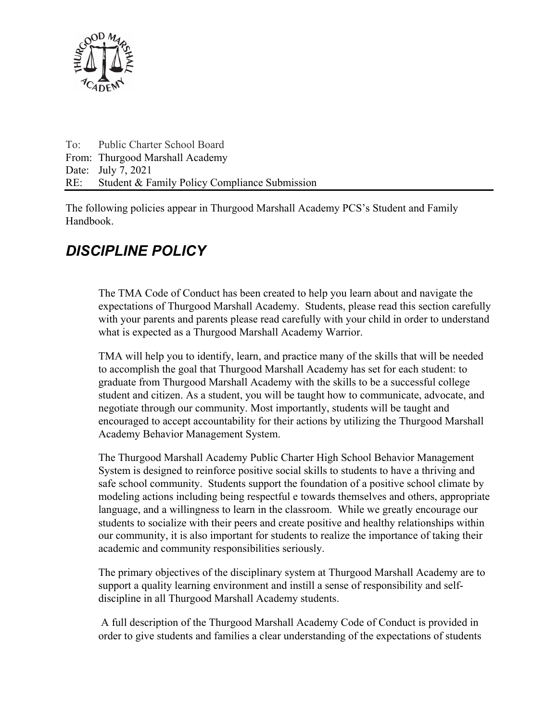

To: Public Charter School Board From: Thurgood Marshall Academy Date: July 7, 2021 RE: Student & Family Policy Compliance Submission

The following policies appear in Thurgood Marshall Academy PCS's Student and Family Handbook.

# *DISCIPLINE POLICY*

The TMA Code of Conduct has been created to help you learn about and navigate the expectations of Thurgood Marshall Academy. Students, please read this section carefully with your parents and parents please read carefully with your child in order to understand what is expected as a Thurgood Marshall Academy Warrior.

TMA will help you to identify, learn, and practice many of the skills that will be needed to accomplish the goal that Thurgood Marshall Academy has set for each student: to graduate from Thurgood Marshall Academy with the skills to be a successful college student and citizen. As a student, you will be taught how to communicate, advocate, and negotiate through our community. Most importantly, students will be taught and encouraged to accept accountability for their actions by utilizing the Thurgood Marshall Academy Behavior Management System.

The Thurgood Marshall Academy Public Charter High School Behavior Management System is designed to reinforce positive social skills to students to have a thriving and safe school community. Students support the foundation of a positive school climate by modeling actions including being respectful e towards themselves and others, appropriate language, and a willingness to learn in the classroom. While we greatly encourage our students to socialize with their peers and create positive and healthy relationships within our community, it is also important for students to realize the importance of taking their academic and community responsibilities seriously.

The primary objectives of the disciplinary system at Thurgood Marshall Academy are to support a quality learning environment and instill a sense of responsibility and selfdiscipline in all Thurgood Marshall Academy students.

 A full description of the Thurgood Marshall Academy Code of Conduct is provided in order to give students and families a clear understanding of the expectations of students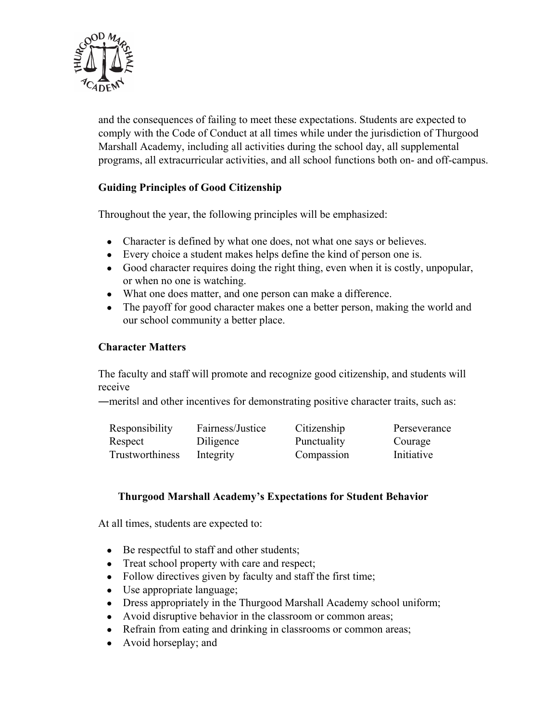

and the consequences of failing to meet these expectations. Students are expected to comply with the Code of Conduct at all times while under the jurisdiction of Thurgood Marshall Academy, including all activities during the school day, all supplemental programs, all extracurricular activities, and all school functions both on- and off-campus.

## **Guiding Principles of Good Citizenship**

Throughout the year, the following principles will be emphasized:

- Character is defined by what one does, not what one says or believes.
- Every choice a student makes helps define the kind of person one is.
- Good character requires doing the right thing, even when it is costly, unpopular, or when no one is watching.
- What one does matter, and one person can make a difference.
- The payoff for good character makes one a better person, making the world and our school community a better place.

#### **Character Matters**

The faculty and staff will promote and recognize good citizenship, and students will receive

―meritsǁ and other incentives for demonstrating positive character traits, such as:

| Responsibility  | Fairness/Justice | Citizenship | Perseverance |
|-----------------|------------------|-------------|--------------|
| Respect         | Diligence        | Punctuality | Courage      |
| Trustworthiness | Integrity        | Compassion  | Initiative   |

#### **Thurgood Marshall Academy's Expectations for Student Behavior**

At all times, students are expected to:

- Be respectful to staff and other students;
- Treat school property with care and respect;
- Follow directives given by faculty and staff the first time;
- Use appropriate language;
- Dress appropriately in the Thurgood Marshall Academy school uniform;
- Avoid disruptive behavior in the classroom or common areas;
- Refrain from eating and drinking in classrooms or common areas;
- Avoid horseplay; and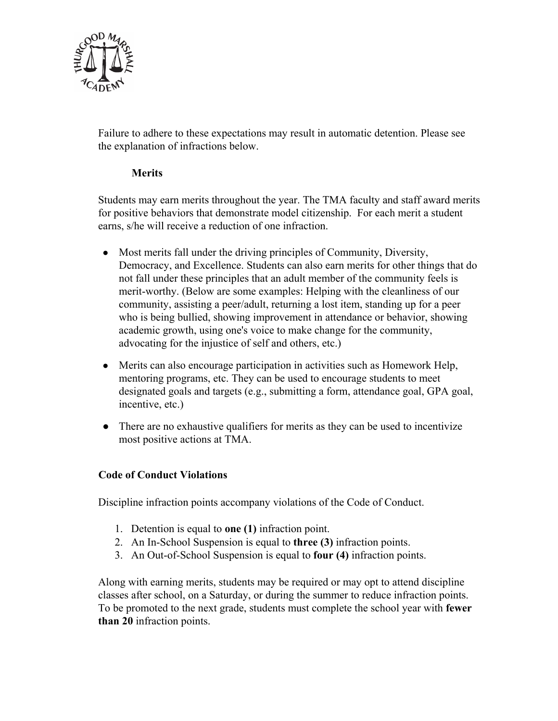

Failure to adhere to these expectations may result in automatic detention. Please see the explanation of infractions below.

#### **Merits**

Students may earn merits throughout the year. The TMA faculty and staff award merits for positive behaviors that demonstrate model citizenship. For each merit a student earns, s/he will receive a reduction of one infraction.

- Most merits fall under the driving principles of Community, Diversity, Democracy, and Excellence. Students can also earn merits for other things that do not fall under these principles that an adult member of the community feels is merit-worthy. (Below are some examples: Helping with the cleanliness of our community, assisting a peer/adult, returning a lost item, standing up for a peer who is being bullied, showing improvement in attendance or behavior, showing academic growth, using one's voice to make change for the community, advocating for the injustice of self and others, etc.)
- Merits can also encourage participation in activities such as Homework Help, mentoring programs, etc. They can be used to encourage students to meet designated goals and targets (e.g., submitting a form, attendance goal, GPA goal, incentive, etc.)
- There are no exhaustive qualifiers for merits as they can be used to incentivize most positive actions at TMA.

#### **Code of Conduct Violations**

Discipline infraction points accompany violations of the Code of Conduct.

- 1. Detention is equal to **one (1)** infraction point.
- 2. An In-School Suspension is equal to **three (3)** infraction points.
- 3. An Out-of-School Suspension is equal to **four (4)** infraction points.

Along with earning merits, students may be required or may opt to attend discipline classes after school, on a Saturday, or during the summer to reduce infraction points. To be promoted to the next grade, students must complete the school year with **fewer than 20** infraction points.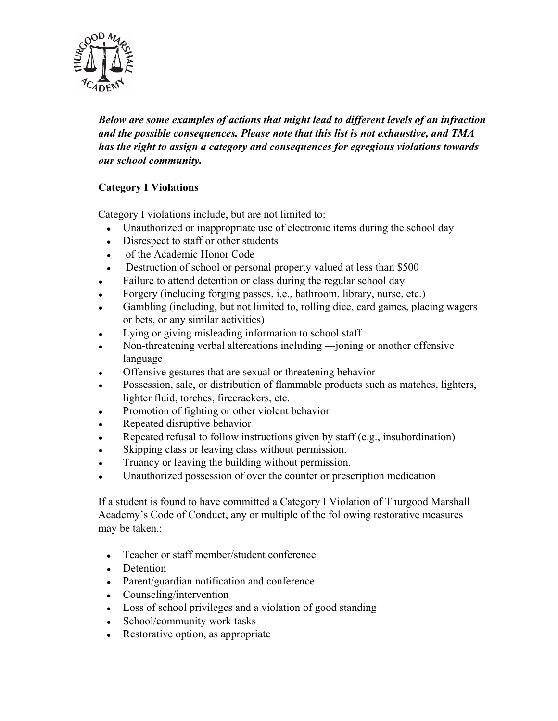

*Below are some examples of actions that might lead to different levels of an infraction and the possible consequences. Please note that this list is not exhaustive, and TMA has the right to assign a category and consequences for egregious violations towards our school community.* 

## **Category I Violations**

Category I violations include, but are not limited to:

- Unauthorized or inappropriate use of electronic items during the school day
- Disrespect to staff or other students
- of the Academic Honor Code
- Destruction of school or personal property valued at less than \$500
- Failure to attend detention or class during the regular school day
- Forgery (including forging passes, i.e., bathroom, library, nurse, etc.)
- Gambling (including, but not limited to, rolling dice, card games, placing wagers or bets, or any similar activities)
- Lying or giving misleading information to school staff
- Non-threatening verbal altercations including —joning or another offensive language
- Offensive gestures that are sexual or threatening behavior
- Possession, sale, or distribution of flammable products such as matches, lighters, lighter fluid, torches, firecrackers, etc.
- Promotion of fighting or other violent behavior
- Repeated disruptive behavior
- Repeated refusal to follow instructions given by staff (e.g., insubordination)
- Skipping class or leaving class without permission.
- Truancy or leaving the building without permission.
- Unauthorized possession of over the counter or prescription medication

If a student is found to have committed a Category I Violation of Thurgood Marshall Academy's Code of Conduct, any or multiple of the following restorative measures may be taken.:

- Teacher or staff member/student conference
- Detention
- Parent/guardian notification and conference
- Counseling/intervention
- Loss of school privileges and a violation of good standing
- School/community work tasks
- Restorative option, as appropriate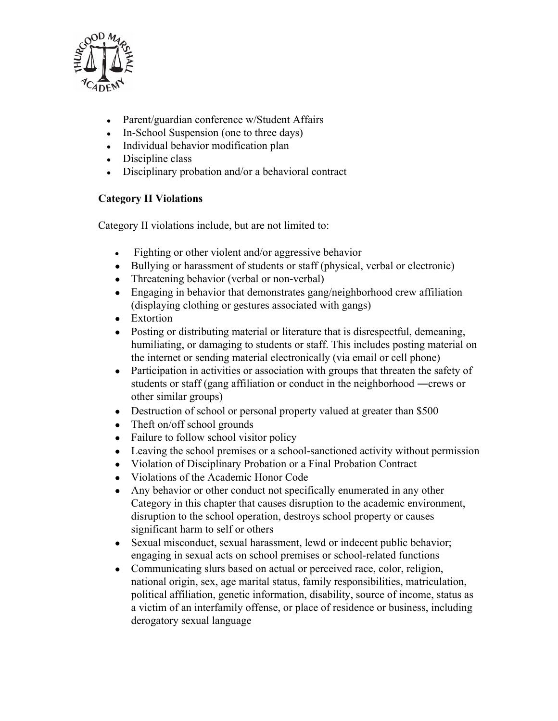

- Parent/guardian conference w/Student Affairs
- $\bullet$  In-School Suspension (one to three days)
- Individual behavior modification plan
- $\bullet$  Discipline class
- $\bullet$  Disciplinary probation and/or a behavioral contract

## **Category II Violations**

Category II violations include, but are not limited to:

- Fighting or other violent and/or aggressive behavior
- Bullying or harassment of students or staff (physical, verbal or electronic)
- Threatening behavior (verbal or non-verbal)
- Engaging in behavior that demonstrates gang/neighborhood crew affiliation (displaying clothing or gestures associated with gangs)
- Extortion
- Posting or distributing material or literature that is disrespectful, demeaning, humiliating, or damaging to students or staff. This includes posting material on the internet or sending material electronically (via email or cell phone)
- Participation in activities or association with groups that threaten the safety of students or staff (gang affiliation or conduct in the neighborhood ―crews or other similar groups)
- Destruction of school or personal property valued at greater than \$500
- Theft on/off school grounds
- Failure to follow school visitor policy
- Leaving the school premises or a school-sanctioned activity without permission
- Violation of Disciplinary Probation or a Final Probation Contract
- Violations of the Academic Honor Code
- Any behavior or other conduct not specifically enumerated in any other Category in this chapter that causes disruption to the academic environment, disruption to the school operation, destroys school property or causes significant harm to self or others
- Sexual misconduct, sexual harassment, lewd or indecent public behavior; engaging in sexual acts on school premises or school-related functions
- Communicating slurs based on actual or perceived race, color, religion, national origin, sex, age marital status, family responsibilities, matriculation, political affiliation, genetic information, disability, source of income, status as a victim of an interfamily offense, or place of residence or business, including derogatory sexual language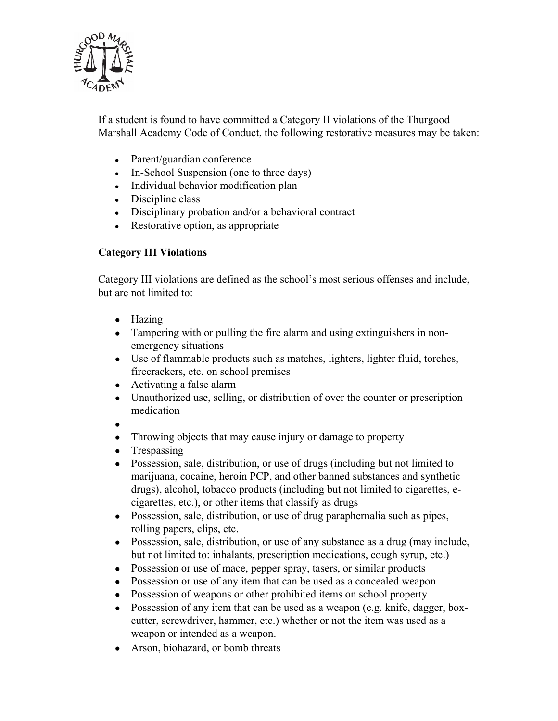

If a student is found to have committed a Category II violations of the Thurgood Marshall Academy Code of Conduct, the following restorative measures may be taken:

- Parent/guardian conference
- In-School Suspension (one to three days)
- Individual behavior modification plan
- $\bullet$  Discipline class
- $\bullet$  Disciplinary probation and/or a behavioral contract
- Restorative option, as appropriate

## **Category III Violations**

Category III violations are defined as the school's most serious offenses and include, but are not limited to:

- Hazing
- Tampering with or pulling the fire alarm and using extinguishers in nonemergency situations
- Use of flammable products such as matches, lighters, lighter fluid, torches, firecrackers, etc. on school premises
- Activating a false alarm
- Unauthorized use, selling, or distribution of over the counter or prescription medication
- $\bullet$
- Throwing objects that may cause injury or damage to property
- Trespassing
- Possession, sale, distribution, or use of drugs (including but not limited to marijuana, cocaine, heroin PCP, and other banned substances and synthetic drugs), alcohol, tobacco products (including but not limited to cigarettes, ecigarettes, etc.), or other items that classify as drugs
- Possession, sale, distribution, or use of drug paraphernalia such as pipes, rolling papers, clips, etc.
- Possession, sale, distribution, or use of any substance as a drug (may include, but not limited to: inhalants, prescription medications, cough syrup, etc.)
- Possession or use of mace, pepper spray, tasers, or similar products
- Possession or use of any item that can be used as a concealed weapon
- Possession of weapons or other prohibited items on school property
- Possession of any item that can be used as a weapon (e.g. knife, dagger, boxcutter, screwdriver, hammer, etc.) whether or not the item was used as a weapon or intended as a weapon.
- Arson, biohazard, or bomb threats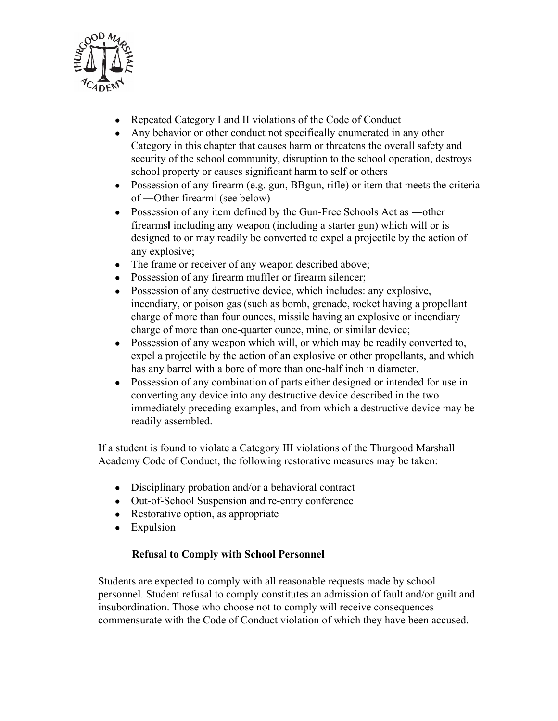

- Repeated Category I and II violations of the Code of Conduct
- Any behavior or other conduct not specifically enumerated in any other Category in this chapter that causes harm or threatens the overall safety and security of the school community, disruption to the school operation, destroys school property or causes significant harm to self or others
- Possession of any firearm (e.g. gun, BBgun, rifle) or item that meets the criteria of ―Other firearmǁ (see below)
- Possession of any item defined by the Gun-Free Schools Act as —other firearmsǁ including any weapon (including a starter gun) which will or is designed to or may readily be converted to expel a projectile by the action of any explosive;
- The frame or receiver of any weapon described above;
- Possession of any firearm muffler or firearm silencer;
- Possession of any destructive device, which includes: any explosive, incendiary, or poison gas (such as bomb, grenade, rocket having a propellant charge of more than four ounces, missile having an explosive or incendiary charge of more than one-quarter ounce, mine, or similar device;
- Possession of any weapon which will, or which may be readily converted to, expel a projectile by the action of an explosive or other propellants, and which has any barrel with a bore of more than one-half inch in diameter.
- Possession of any combination of parts either designed or intended for use in converting any device into any destructive device described in the two immediately preceding examples, and from which a destructive device may be readily assembled.

If a student is found to violate a Category III violations of the Thurgood Marshall Academy Code of Conduct, the following restorative measures may be taken:

- Disciplinary probation and/or a behavioral contract
- Out-of-School Suspension and re-entry conference
- Restorative option, as appropriate
- Expulsion

## **Refusal to Comply with School Personnel**

Students are expected to comply with all reasonable requests made by school personnel. Student refusal to comply constitutes an admission of fault and/or guilt and insubordination. Those who choose not to comply will receive consequences commensurate with the Code of Conduct violation of which they have been accused.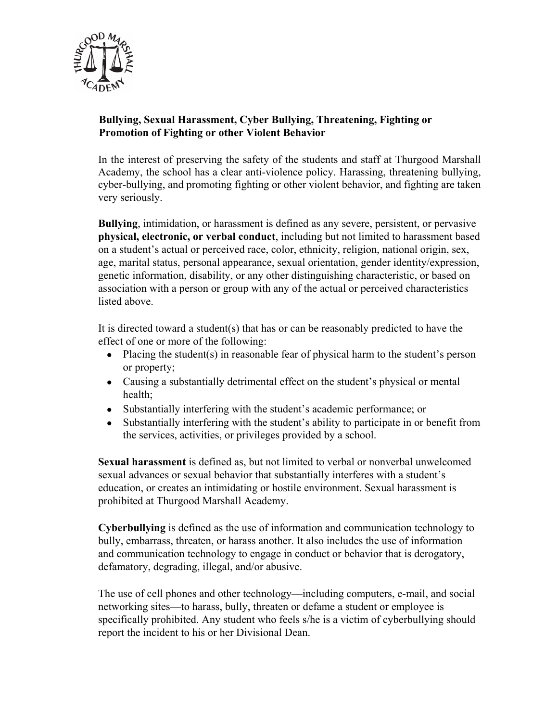

## **Bullying, Sexual Harassment, Cyber Bullying, Threatening, Fighting or Promotion of Fighting or other Violent Behavior**

In the interest of preserving the safety of the students and staff at Thurgood Marshall Academy, the school has a clear anti-violence policy. Harassing, threatening bullying, cyber-bullying, and promoting fighting or other violent behavior, and fighting are taken very seriously.

**Bullying**, intimidation, or harassment is defined as any severe, persistent, or pervasive **physical, electronic, or verbal conduct**, including but not limited to harassment based on a student's actual or perceived race, color, ethnicity, religion, national origin, sex, age, marital status, personal appearance, sexual orientation, gender identity/expression, genetic information, disability, or any other distinguishing characteristic, or based on association with a person or group with any of the actual or perceived characteristics listed above.

It is directed toward a student(s) that has or can be reasonably predicted to have the effect of one or more of the following:

- Placing the student(s) in reasonable fear of physical harm to the student's person or property;
- Causing a substantially detrimental effect on the student's physical or mental health;
- Substantially interfering with the student's academic performance; or
- Substantially interfering with the student's ability to participate in or benefit from the services, activities, or privileges provided by a school.

**Sexual harassment** is defined as, but not limited to verbal or nonverbal unwelcomed sexual advances or sexual behavior that substantially interferes with a student's education, or creates an intimidating or hostile environment. Sexual harassment is prohibited at Thurgood Marshall Academy.

**Cyberbullying** is defined as the use of information and communication technology to bully, embarrass, threaten, or harass another. It also includes the use of information and communication technology to engage in conduct or behavior that is derogatory, defamatory, degrading, illegal, and/or abusive.

The use of cell phones and other technology—including computers, e-mail, and social networking sites—to harass, bully, threaten or defame a student or employee is specifically prohibited. Any student who feels s/he is a victim of cyberbullying should report the incident to his or her Divisional Dean.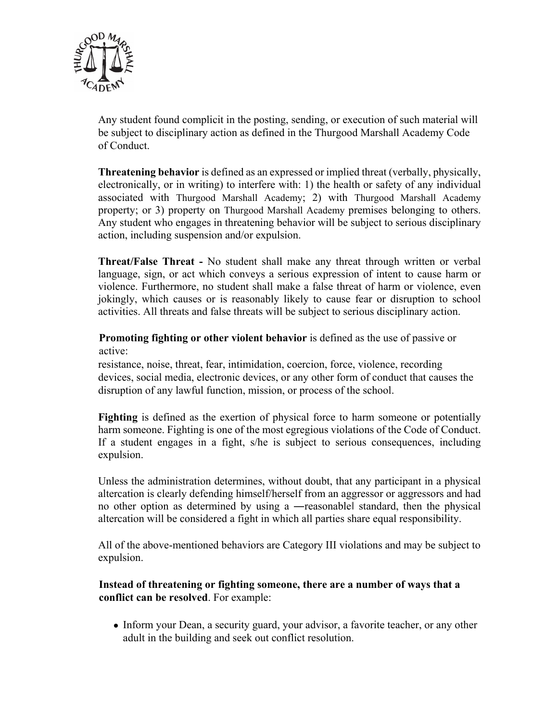

Any student found complicit in the posting, sending, or execution of such material will be subject to disciplinary action as defined in the Thurgood Marshall Academy Code of Conduct.

**Threatening behavior** is defined as an expressed or implied threat (verbally, physically, electronically, or in writing) to interfere with: 1) the health or safety of any individual associated with Thurgood Marshall Academy; 2) with Thurgood Marshall Academy property; or 3) property on Thurgood Marshall Academy premises belonging to others. Any student who engages in threatening behavior will be subject to serious disciplinary action, including suspension and/or expulsion.

**Threat/False Threat -** No student shall make any threat through written or verbal language, sign, or act which conveys a serious expression of intent to cause harm or violence. Furthermore, no student shall make a false threat of harm or violence, even jokingly, which causes or is reasonably likely to cause fear or disruption to school activities. All threats and false threats will be subject to serious disciplinary action.

**Promoting fighting or other violent behavior** is defined as the use of passive or active:

resistance, noise, threat, fear, intimidation, coercion, force, violence, recording devices, social media, electronic devices, or any other form of conduct that causes the disruption of any lawful function, mission, or process of the school.

**Fighting** is defined as the exertion of physical force to harm someone or potentially harm someone. Fighting is one of the most egregious violations of the Code of Conduct. If a student engages in a fight, s/he is subject to serious consequences, including expulsion.

Unless the administration determines, without doubt, that any participant in a physical altercation is clearly defending himself/herself from an aggressor or aggressors and had no other option as determined by using a —reasonable standard, then the physical altercation will be considered a fight in which all parties share equal responsibility.

All of the above-mentioned behaviors are Category III violations and may be subject to expulsion.

#### **Instead of threatening or fighting someone, there are a number of ways that a conflict can be resolved**. For example:

• Inform your Dean, a security guard, your advisor, a favorite teacher, or any other adult in the building and seek out conflict resolution.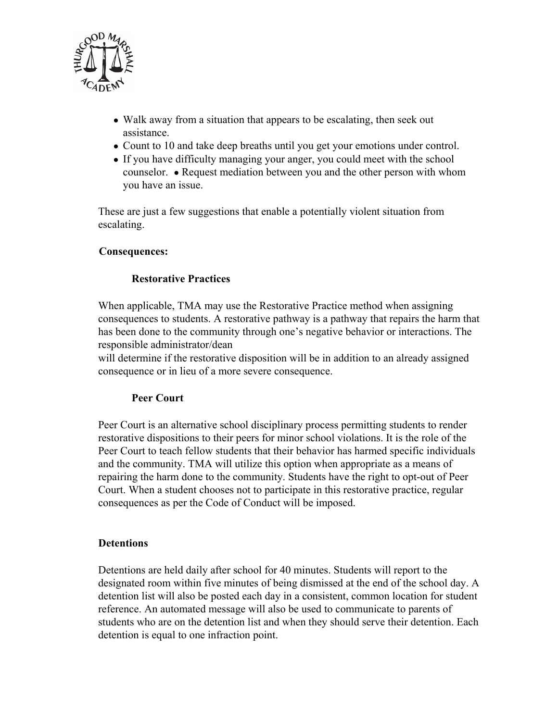

- Walk away from a situation that appears to be escalating, then seek out assistance.
- Count to 10 and take deep breaths until you get your emotions under control.
- If you have difficulty managing your anger, you could meet with the school counselor. ● Request mediation between you and the other person with whom you have an issue.

These are just a few suggestions that enable a potentially violent situation from escalating.

#### **Consequences:**

## **Restorative Practices**

When applicable, TMA may use the Restorative Practice method when assigning consequences to students. A restorative pathway is a pathway that repairs the harm that has been done to the community through one's negative behavior or interactions. The responsible administrator/dean

will determine if the restorative disposition will be in addition to an already assigned consequence or in lieu of a more severe consequence.

#### **Peer Court**

Peer Court is an alternative school disciplinary process permitting students to render restorative dispositions to their peers for minor school violations. It is the role of the Peer Court to teach fellow students that their behavior has harmed specific individuals and the community. TMA will utilize this option when appropriate as a means of repairing the harm done to the community. Students have the right to opt-out of Peer Court. When a student chooses not to participate in this restorative practice, regular consequences as per the Code of Conduct will be imposed.

#### **Detentions**

Detentions are held daily after school for 40 minutes. Students will report to the designated room within five minutes of being dismissed at the end of the school day. A detention list will also be posted each day in a consistent, common location for student reference. An automated message will also be used to communicate to parents of students who are on the detention list and when they should serve their detention. Each detention is equal to one infraction point.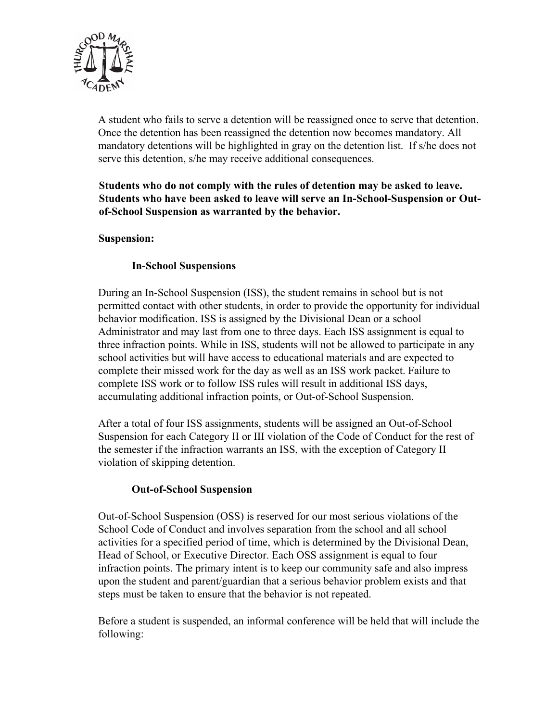

A student who fails to serve a detention will be reassigned once to serve that detention. Once the detention has been reassigned the detention now becomes mandatory. All mandatory detentions will be highlighted in gray on the detention list. If s/he does not serve this detention, s/he may receive additional consequences.

#### **Students who do not comply with the rules of detention may be asked to leave. Students who have been asked to leave will serve an In-School-Suspension or Outof-School Suspension as warranted by the behavior.**

#### **Suspension:**

## **In-School Suspensions**

During an In-School Suspension (ISS), the student remains in school but is not permitted contact with other students, in order to provide the opportunity for individual behavior modification. ISS is assigned by the Divisional Dean or a school Administrator and may last from one to three days. Each ISS assignment is equal to three infraction points. While in ISS, students will not be allowed to participate in any school activities but will have access to educational materials and are expected to complete their missed work for the day as well as an ISS work packet. Failure to complete ISS work or to follow ISS rules will result in additional ISS days, accumulating additional infraction points, or Out-of-School Suspension.

After a total of four ISS assignments, students will be assigned an Out-of-School Suspension for each Category II or III violation of the Code of Conduct for the rest of the semester if the infraction warrants an ISS, with the exception of Category II violation of skipping detention.

#### **Out-of-School Suspension**

Out-of-School Suspension (OSS) is reserved for our most serious violations of the School Code of Conduct and involves separation from the school and all school activities for a specified period of time, which is determined by the Divisional Dean, Head of School, or Executive Director. Each OSS assignment is equal to four infraction points. The primary intent is to keep our community safe and also impress upon the student and parent/guardian that a serious behavior problem exists and that steps must be taken to ensure that the behavior is not repeated.

Before a student is suspended, an informal conference will be held that will include the following: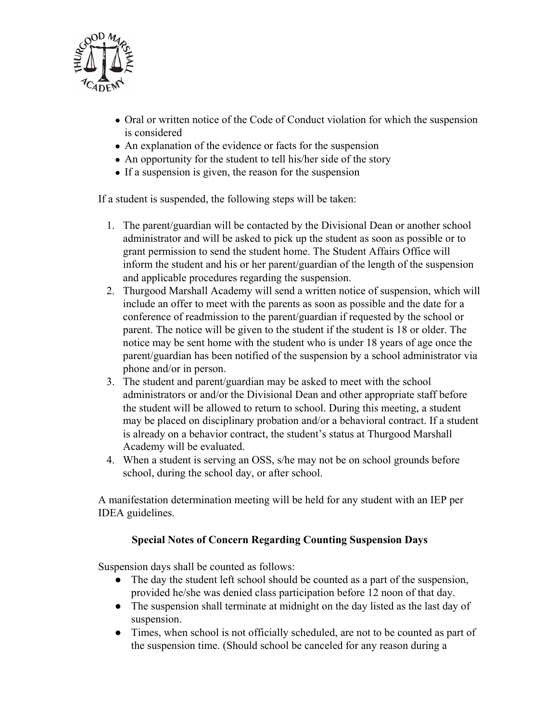

- Oral or written notice of the Code of Conduct violation for which the suspension is considered
- An explanation of the evidence or facts for the suspension
- An opportunity for the student to tell his/her side of the story
- If a suspension is given, the reason for the suspension

If a student is suspended, the following steps will be taken:

- 1. The parent/guardian will be contacted by the Divisional Dean or another school administrator and will be asked to pick up the student as soon as possible or to grant permission to send the student home. The Student Affairs Office will inform the student and his or her parent/guardian of the length of the suspension and applicable procedures regarding the suspension.
- 2. Thurgood Marshall Academy will send a written notice of suspension, which will include an offer to meet with the parents as soon as possible and the date for a conference of readmission to the parent/guardian if requested by the school or parent. The notice will be given to the student if the student is 18 or older. The notice may be sent home with the student who is under 18 years of age once the parent/guardian has been notified of the suspension by a school administrator via phone and/or in person.
- 3. The student and parent/guardian may be asked to meet with the school administrators or and/or the Divisional Dean and other appropriate staff before the student will be allowed to return to school. During this meeting, a student may be placed on disciplinary probation and/or a behavioral contract. If a student is already on a behavior contract, the student's status at Thurgood Marshall Academy will be evaluated.
- 4. When a student is serving an OSS, s/he may not be on school grounds before school, during the school day, or after school.

A manifestation determination meeting will be held for any student with an IEP per IDEA guidelines.

#### **Special Notes of Concern Regarding Counting Suspension Days**

Suspension days shall be counted as follows:

- The day the student left school should be counted as a part of the suspension, provided he/she was denied class participation before 12 noon of that day.
- The suspension shall terminate at midnight on the day listed as the last day of suspension.
- Times, when school is not officially scheduled, are not to be counted as part of the suspension time. (Should school be canceled for any reason during a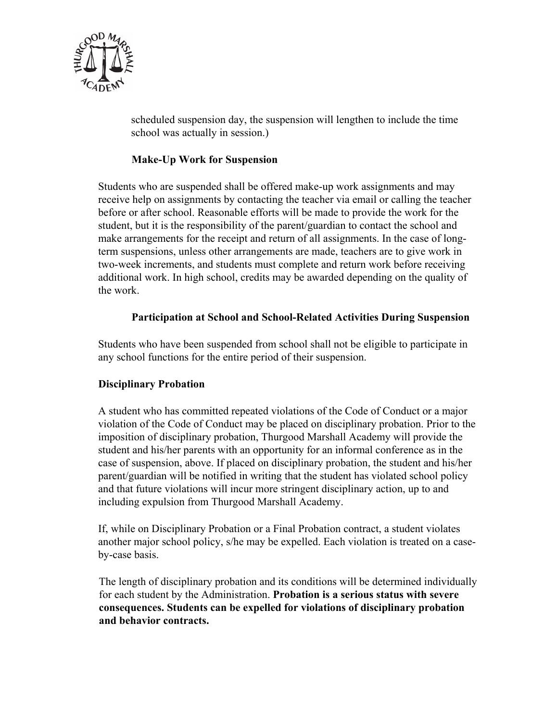

scheduled suspension day, the suspension will lengthen to include the time school was actually in session.)

## **Make-Up Work for Suspension**

Students who are suspended shall be offered make-up work assignments and may receive help on assignments by contacting the teacher via email or calling the teacher before or after school. Reasonable efforts will be made to provide the work for the student, but it is the responsibility of the parent/guardian to contact the school and make arrangements for the receipt and return of all assignments. In the case of longterm suspensions, unless other arrangements are made, teachers are to give work in two-week increments, and students must complete and return work before receiving additional work. In high school, credits may be awarded depending on the quality of the work.

#### **Participation at School and School-Related Activities During Suspension**

Students who have been suspended from school shall not be eligible to participate in any school functions for the entire period of their suspension.

#### **Disciplinary Probation**

A student who has committed repeated violations of the Code of Conduct or a major violation of the Code of Conduct may be placed on disciplinary probation. Prior to the imposition of disciplinary probation, Thurgood Marshall Academy will provide the student and his/her parents with an opportunity for an informal conference as in the case of suspension, above. If placed on disciplinary probation, the student and his/her parent/guardian will be notified in writing that the student has violated school policy and that future violations will incur more stringent disciplinary action, up to and including expulsion from Thurgood Marshall Academy.

If, while on Disciplinary Probation or a Final Probation contract, a student violates another major school policy, s/he may be expelled. Each violation is treated on a caseby-case basis.

The length of disciplinary probation and its conditions will be determined individually for each student by the Administration. **Probation is a serious status with severe consequences. Students can be expelled for violations of disciplinary probation and behavior contracts.**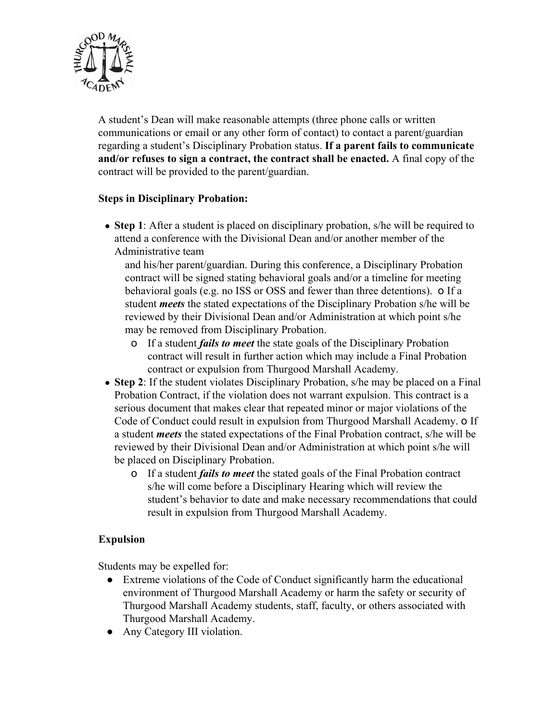

A student's Dean will make reasonable attempts (three phone calls or written communications or email or any other form of contact) to contact a parent/guardian regarding a student's Disciplinary Probation status. **If a parent fails to communicate and/or refuses to sign a contract, the contract shall be enacted.** A final copy of the contract will be provided to the parent/guardian.

#### **Steps in Disciplinary Probation:**

• Step 1: After a student is placed on disciplinary probation, s/he will be required to attend a conference with the Divisional Dean and/or another member of the Administrative team

and his/her parent/guardian. During this conference, a Disciplinary Probation contract will be signed stating behavioral goals and/or a timeline for meeting behavioral goals (e.g. no ISS or OSS and fewer than three detentions). o If a student *meets* the stated expectations of the Disciplinary Probation s/he will be reviewed by their Divisional Dean and/or Administration at which point s/he may be removed from Disciplinary Probation.

- o If a student *fails to meet* the state goals of the Disciplinary Probation contract will result in further action which may include a Final Probation contract or expulsion from Thurgood Marshall Academy.
- **Step 2**: If the student violates Disciplinary Probation, s/he may be placed on a Final Probation Contract, if the violation does not warrant expulsion. This contract is a serious document that makes clear that repeated minor or major violations of the Code of Conduct could result in expulsion from Thurgood Marshall Academy. o If a student *meets* the stated expectations of the Final Probation contract, s/he will be reviewed by their Divisional Dean and/or Administration at which point s/he will be placed on Disciplinary Probation.
	- o If a student *fails to meet* the stated goals of the Final Probation contract s/he will come before a Disciplinary Hearing which will review the student's behavior to date and make necessary recommendations that could result in expulsion from Thurgood Marshall Academy.

## **Expulsion**

Students may be expelled for:

- Extreme violations of the Code of Conduct significantly harm the educational environment of Thurgood Marshall Academy or harm the safety or security of Thurgood Marshall Academy students, staff, faculty, or others associated with Thurgood Marshall Academy.
- Any Category III violation.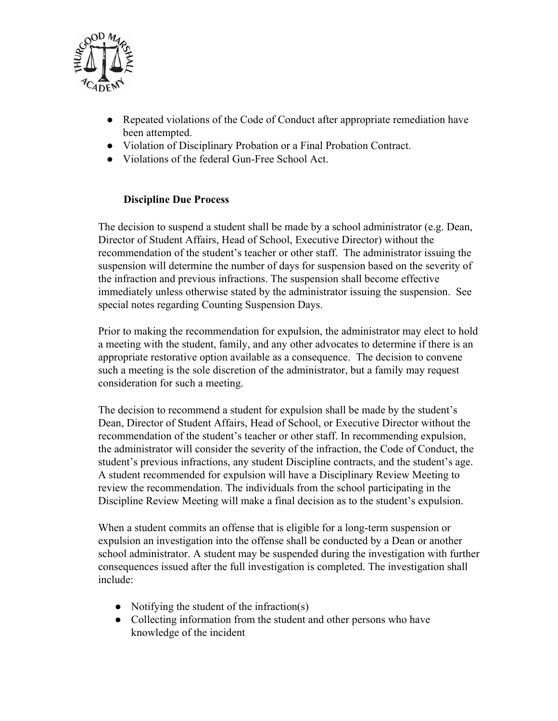

- Repeated violations of the Code of Conduct after appropriate remediation have been attempted.
- Violation of Disciplinary Probation or a Final Probation Contract.
- Violations of the federal Gun-Free School Act.

#### **Discipline Due Process**

The decision to suspend a student shall be made by a school administrator (e.g. Dean, Director of Student Affairs, Head of School, Executive Director) without the recommendation of the student's teacher or other staff. The administrator issuing the suspension will determine the number of days for suspension based on the severity of the infraction and previous infractions. The suspension shall become effective immediately unless otherwise stated by the administrator issuing the suspension. See special notes regarding Counting Suspension Days.

Prior to making the recommendation for expulsion, the administrator may elect to hold a meeting with the student, family, and any other advocates to determine if there is an appropriate restorative option available as a consequence. The decision to convene such a meeting is the sole discretion of the administrator, but a family may request consideration for such a meeting.

The decision to recommend a student for expulsion shall be made by the student's Dean, Director of Student Affairs, Head of School, or Executive Director without the recommendation of the student's teacher or other staff. In recommending expulsion, the administrator will consider the severity of the infraction, the Code of Conduct, the student's previous infractions, any student Discipline contracts, and the student's age. A student recommended for expulsion will have a Disciplinary Review Meeting to review the recommendation. The individuals from the school participating in the Discipline Review Meeting will make a final decision as to the student's expulsion.

When a student commits an offense that is eligible for a long-term suspension or expulsion an investigation into the offense shall be conducted by a Dean or another school administrator. A student may be suspended during the investigation with further consequences issued after the full investigation is completed. The investigation shall include:

- Notifying the student of the infraction $(s)$
- Collecting information from the student and other persons who have knowledge of the incident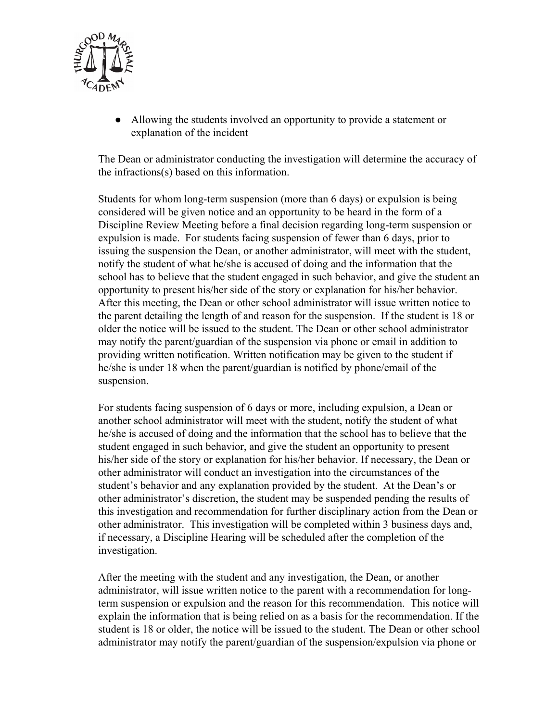

● Allowing the students involved an opportunity to provide a statement or explanation of the incident

The Dean or administrator conducting the investigation will determine the accuracy of the infractions(s) based on this information.

Students for whom long-term suspension (more than 6 days) or expulsion is being considered will be given notice and an opportunity to be heard in the form of a Discipline Review Meeting before a final decision regarding long-term suspension or expulsion is made. For students facing suspension of fewer than 6 days, prior to issuing the suspension the Dean, or another administrator, will meet with the student, notify the student of what he/she is accused of doing and the information that the school has to believe that the student engaged in such behavior, and give the student an opportunity to present his/her side of the story or explanation for his/her behavior. After this meeting, the Dean or other school administrator will issue written notice to the parent detailing the length of and reason for the suspension. If the student is 18 or older the notice will be issued to the student. The Dean or other school administrator may notify the parent/guardian of the suspension via phone or email in addition to providing written notification. Written notification may be given to the student if he/she is under 18 when the parent/guardian is notified by phone/email of the suspension.

For students facing suspension of 6 days or more, including expulsion, a Dean or another school administrator will meet with the student, notify the student of what he/she is accused of doing and the information that the school has to believe that the student engaged in such behavior, and give the student an opportunity to present his/her side of the story or explanation for his/her behavior. If necessary, the Dean or other administrator will conduct an investigation into the circumstances of the student's behavior and any explanation provided by the student. At the Dean's or other administrator's discretion, the student may be suspended pending the results of this investigation and recommendation for further disciplinary action from the Dean or other administrator. This investigation will be completed within 3 business days and, if necessary, a Discipline Hearing will be scheduled after the completion of the investigation.

After the meeting with the student and any investigation, the Dean, or another administrator, will issue written notice to the parent with a recommendation for longterm suspension or expulsion and the reason for this recommendation. This notice will explain the information that is being relied on as a basis for the recommendation. If the student is 18 or older, the notice will be issued to the student. The Dean or other school administrator may notify the parent/guardian of the suspension/expulsion via phone or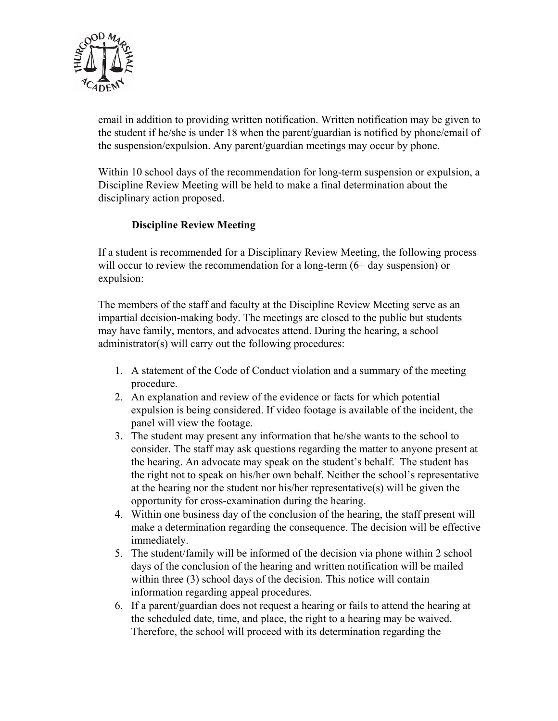

email in addition to providing written notification. Written notification may be given to the student if he/she is under 18 when the parent/guardian is notified by phone/email of the suspension/expulsion. Any parent/guardian meetings may occur by phone.

Within 10 school days of the recommendation for long-term suspension or expulsion, a Discipline Review Meeting will be held to make a final determination about the disciplinary action proposed.

## **Discipline Review Meeting**

If a student is recommended for a Disciplinary Review Meeting, the following process will occur to review the recommendation for a long-term (6+ day suspension) or expulsion:

The members of the staff and faculty at the Discipline Review Meeting serve as an impartial decision-making body. The meetings are closed to the public but students may have family, mentors, and advocates attend. During the hearing, a school administrator(s) will carry out the following procedures:

- 1. A statement of the Code of Conduct violation and a summary of the meeting procedure.
- 2. An explanation and review of the evidence or facts for which potential expulsion is being considered. If video footage is available of the incident, the panel will view the footage.
- 3. The student may present any information that he/she wants to the school to consider. The staff may ask questions regarding the matter to anyone present at the hearing. An advocate may speak on the student's behalf. The student has the right not to speak on his/her own behalf. Neither the school's representative at the hearing nor the student nor his/her representative(s) will be given the opportunity for cross-examination during the hearing.
- 4. Within one business day of the conclusion of the hearing, the staff present will make a determination regarding the consequence. The decision will be effective immediately.
- 5. The student/family will be informed of the decision via phone within 2 school days of the conclusion of the hearing and written notification will be mailed within three (3) school days of the decision. This notice will contain information regarding appeal procedures.
- 6. If a parent/guardian does not request a hearing or fails to attend the hearing at the scheduled date, time, and place, the right to a hearing may be waived. Therefore, the school will proceed with its determination regarding the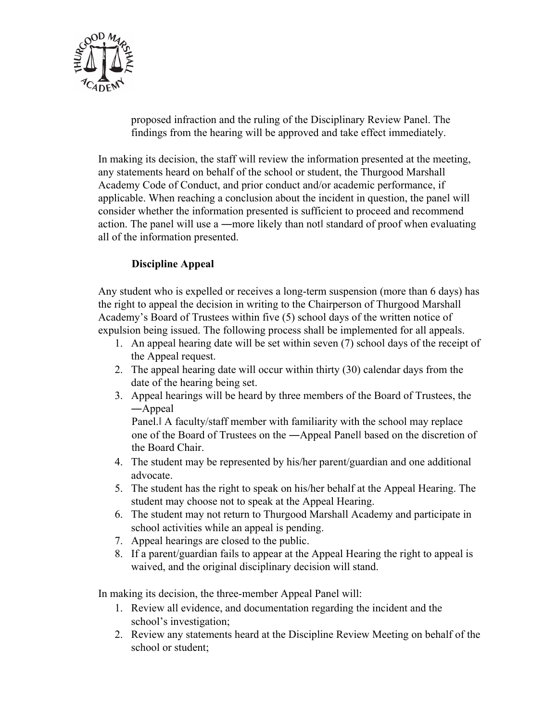

proposed infraction and the ruling of the Disciplinary Review Panel. The findings from the hearing will be approved and take effect immediately.

In making its decision, the staff will review the information presented at the meeting, any statements heard on behalf of the school or student, the Thurgood Marshall Academy Code of Conduct, and prior conduct and/or academic performance, if applicable. When reaching a conclusion about the incident in question, the panel will consider whether the information presented is sufficient to proceed and recommend action. The panel will use a —more likely than notl standard of proof when evaluating all of the information presented.

## **Discipline Appeal**

Any student who is expelled or receives a long-term suspension (more than 6 days) has the right to appeal the decision in writing to the Chairperson of Thurgood Marshall Academy's Board of Trustees within five (5) school days of the written notice of expulsion being issued. The following process shall be implemented for all appeals.

- 1. An appeal hearing date will be set within seven (7) school days of the receipt of the Appeal request.
- 2. The appeal hearing date will occur within thirty (30) calendar days from the date of the hearing being set.
- 3. Appeal hearings will be heard by three members of the Board of Trustees, the ―Appeal

Panel.ǁ A faculty/staff member with familiarity with the school may replace one of the Board of Trustees on the ―Appeal Panelǁ based on the discretion of the Board Chair.

- 4. The student may be represented by his/her parent/guardian and one additional advocate.
- 5. The student has the right to speak on his/her behalf at the Appeal Hearing. The student may choose not to speak at the Appeal Hearing.
- 6. The student may not return to Thurgood Marshall Academy and participate in school activities while an appeal is pending.
- 7. Appeal hearings are closed to the public.
- 8. If a parent/guardian fails to appear at the Appeal Hearing the right to appeal is waived, and the original disciplinary decision will stand.

In making its decision, the three-member Appeal Panel will:

- 1. Review all evidence, and documentation regarding the incident and the school's investigation;
- 2. Review any statements heard at the Discipline Review Meeting on behalf of the school or student;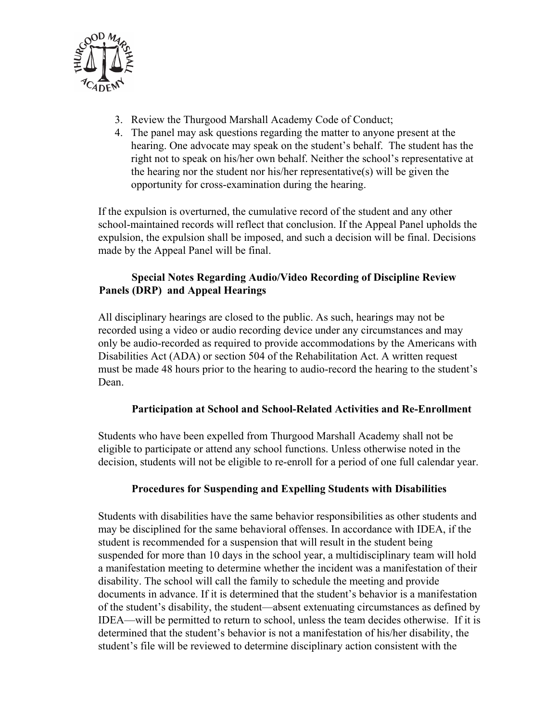

- 3. Review the Thurgood Marshall Academy Code of Conduct;
- 4. The panel may ask questions regarding the matter to anyone present at the hearing. One advocate may speak on the student's behalf. The student has the right not to speak on his/her own behalf. Neither the school's representative at the hearing nor the student nor his/her representative(s) will be given the opportunity for cross-examination during the hearing.

If the expulsion is overturned, the cumulative record of the student and any other school-maintained records will reflect that conclusion. If the Appeal Panel upholds the expulsion, the expulsion shall be imposed, and such a decision will be final. Decisions made by the Appeal Panel will be final.

## **Special Notes Regarding Audio/Video Recording of Discipline Review Panels (DRP) and Appeal Hearings**

All disciplinary hearings are closed to the public. As such, hearings may not be recorded using a video or audio recording device under any circumstances and may only be audio-recorded as required to provide accommodations by the Americans with Disabilities Act (ADA) or section 504 of the Rehabilitation Act. A written request must be made 48 hours prior to the hearing to audio-record the hearing to the student's Dean.

## **Participation at School and School-Related Activities and Re-Enrollment**

Students who have been expelled from Thurgood Marshall Academy shall not be eligible to participate or attend any school functions. Unless otherwise noted in the decision, students will not be eligible to re-enroll for a period of one full calendar year.

#### **Procedures for Suspending and Expelling Students with Disabilities**

Students with disabilities have the same behavior responsibilities as other students and may be disciplined for the same behavioral offenses. In accordance with IDEA, if the student is recommended for a suspension that will result in the student being suspended for more than 10 days in the school year, a multidisciplinary team will hold a manifestation meeting to determine whether the incident was a manifestation of their disability. The school will call the family to schedule the meeting and provide documents in advance. If it is determined that the student's behavior is a manifestation of the student's disability, the student—absent extenuating circumstances as defined by IDEA—will be permitted to return to school, unless the team decides otherwise. If it is determined that the student's behavior is not a manifestation of his/her disability, the student's file will be reviewed to determine disciplinary action consistent with the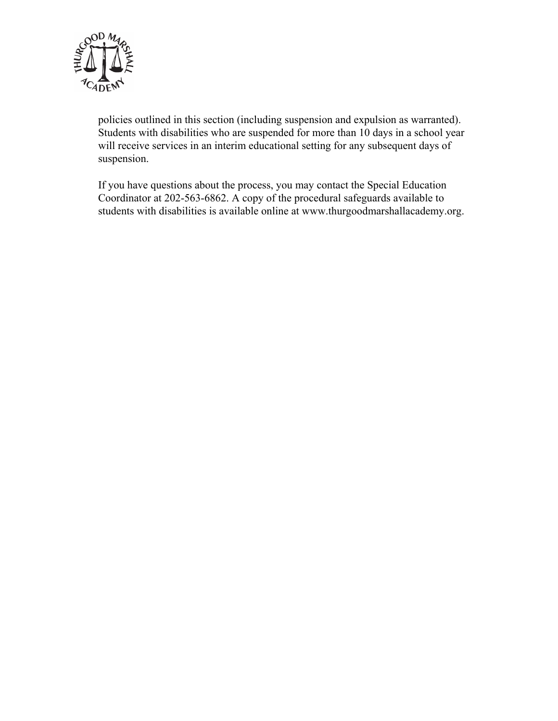

policies outlined in this section (including suspension and expulsion as warranted). Students with disabilities who are suspended for more than 10 days in a school year will receive services in an interim educational setting for any subsequent days of suspension.

If you have questions about the process, you may contact the Special Education Coordinator at 202-563-6862. A copy of the procedural safeguards available to students with disabilities is available online at www.thurgoodmarshallacademy.org.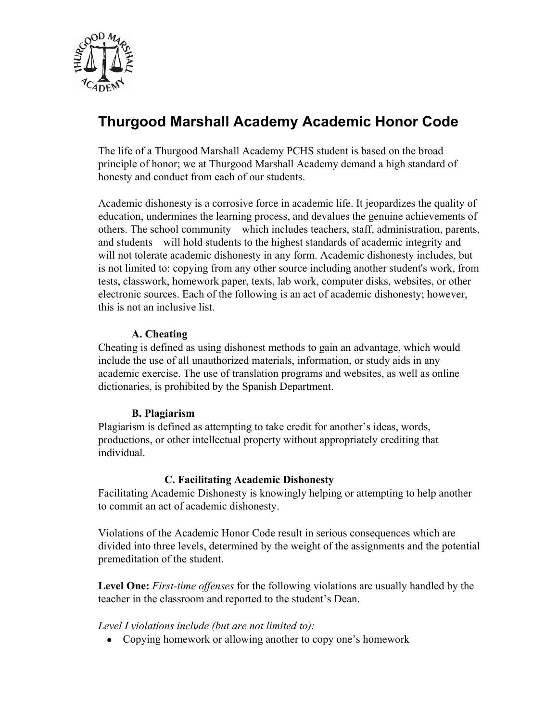

# **Thurgood Marshall Academy Academic Honor Code**

The life of a Thurgood Marshall Academy PCHS student is based on the broad principle of honor; we at Thurgood Marshall Academy demand a high standard of honesty and conduct from each of our students.

Academic dishonesty is a corrosive force in academic life. It jeopardizes the quality of education, undermines the learning process, and devalues the genuine achievements of others. The school community—which includes teachers, staff, administration, parents, and students—will hold students to the highest standards of academic integrity and will not tolerate academic dishonesty in any form. Academic dishonesty includes, but is not limited to: copying from any other source including another student's work, from tests, classwork, homework paper, texts, lab work, computer disks, websites, or other electronic sources. Each of the following is an act of academic dishonesty; however, this is not an inclusive list.

#### **A. Cheating**

Cheating is defined as using dishonest methods to gain an advantage, which would include the use of all unauthorized materials, information, or study aids in any academic exercise. The use of translation programs and websites, as well as online dictionaries, is prohibited by the Spanish Department.

#### **B. Plagiarism**

Plagiarism is defined as attempting to take credit for another's ideas, words, productions, or other intellectual property without appropriately crediting that individual.

#### **C. Facilitating Academic Dishonesty**

Facilitating Academic Dishonesty is knowingly helping or attempting to help another to commit an act of academic dishonesty.

Violations of the Academic Honor Code result in serious consequences which are divided into three levels, determined by the weight of the assignments and the potential premeditation of the student.

**Level One:** *First-time offenses* for the following violations are usually handled by the teacher in the classroom and reported to the student's Dean.

*Level I violations include (but are not limited to):* 

• Copying homework or allowing another to copy one's homework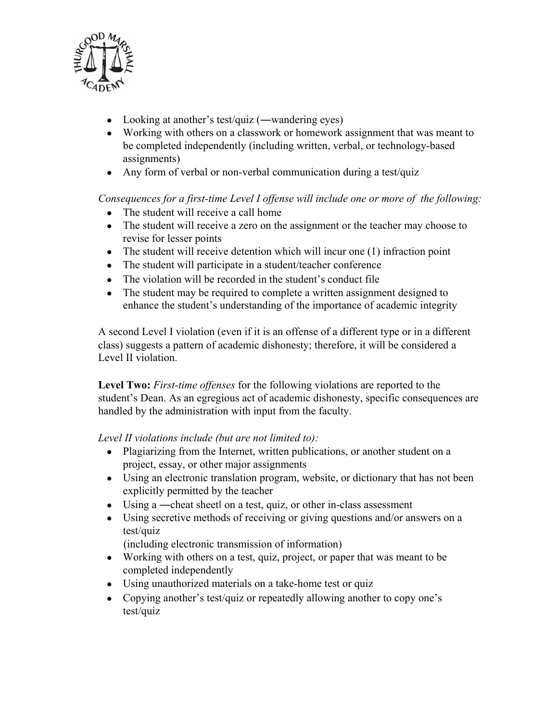

- Looking at another's test/quiz (—wandering eyes)
- Working with others on a classwork or homework assignment that was meant to be completed independently (including written, verbal, or technology-based assignments)
- Any form of verbal or non-verbal communication during a test/quiz

*Consequences for a first-time Level I offense will include one or more of the following:* 

- The student will receive a call home
- The student will receive a zero on the assignment or the teacher may choose to revise for lesser points
- The student will receive detention which will incur one  $(1)$  infraction point
- The student will participate in a student/teacher conference
- The violation will be recorded in the student's conduct file
- The student may be required to complete a written assignment designed to enhance the student's understanding of the importance of academic integrity

A second Level I violation (even if it is an offense of a different type or in a different class) suggests a pattern of academic dishonesty; therefore, it will be considered a Level II violation.

**Level Two:** *First-time offenses* for the following violations are reported to the student's Dean. As an egregious act of academic dishonesty, specific consequences are handled by the administration with input from the faculty.

*Level II violations include (but are not limited to):* 

- Plagiarizing from the Internet, written publications, or another student on a project, essay, or other major assignments
- Using an electronic translation program, website, or dictionary that has not been explicitly permitted by the teacher
- Using a —cheat sheet on a test, quiz, or other in-class assessment
- Using secretive methods of receiving or giving questions and/or answers on a test/quiz

(including electronic transmission of information)

- Working with others on a test, quiz, project, or paper that was meant to be completed independently
- Using unauthorized materials on a take-home test or quiz
- Copying another's test/quiz or repeatedly allowing another to copy one's test/quiz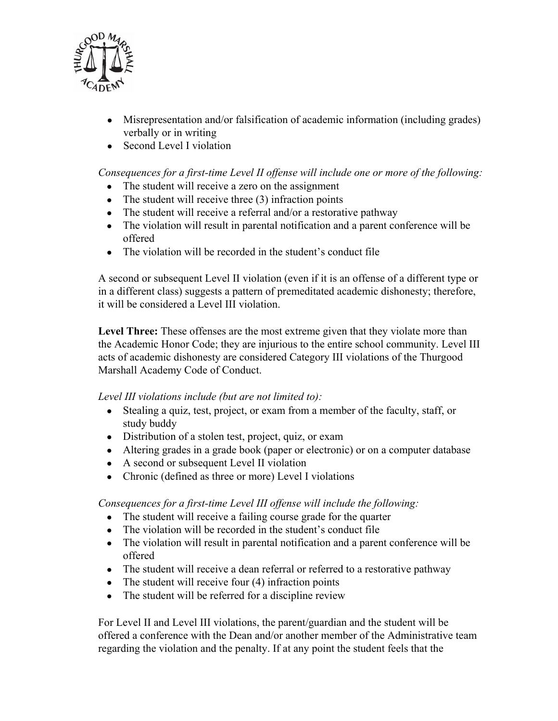

- Misrepresentation and/or falsification of academic information (including grades) verbally or in writing
- Second Level I violation

*Consequences for a first-time Level II offense will include one or more of the following:* 

- The student will receive a zero on the assignment
- The student will receive three  $(3)$  infraction points
- The student will receive a referral and/or a restorative pathway
- The violation will result in parental notification and a parent conference will be offered
- The violation will be recorded in the student's conduct file

A second or subsequent Level II violation (even if it is an offense of a different type or in a different class) suggests a pattern of premeditated academic dishonesty; therefore, it will be considered a Level III violation.

**Level Three:** These offenses are the most extreme given that they violate more than the Academic Honor Code; they are injurious to the entire school community. Level III acts of academic dishonesty are considered Category III violations of the Thurgood Marshall Academy Code of Conduct.

*Level III violations include (but are not limited to):* 

- Stealing a quiz, test, project, or exam from a member of the faculty, staff, or study buddy
- Distribution of a stolen test, project, quiz, or exam
- Altering grades in a grade book (paper or electronic) or on a computer database
- A second or subsequent Level II violation
- Chronic (defined as three or more) Level I violations

*Consequences for a first-time Level III offense will include the following:* 

- The student will receive a failing course grade for the quarter
- The violation will be recorded in the student's conduct file
- The violation will result in parental notification and a parent conference will be offered
- The student will receive a dean referral or referred to a restorative pathway
- The student will receive four  $(4)$  infraction points
- The student will be referred for a discipline review

For Level II and Level III violations, the parent/guardian and the student will be offered a conference with the Dean and/or another member of the Administrative team regarding the violation and the penalty. If at any point the student feels that the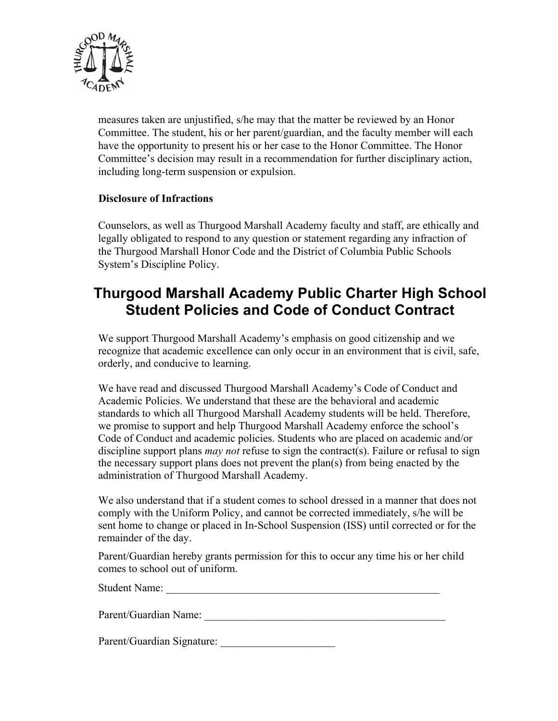

measures taken are unjustified, s/he may that the matter be reviewed by an Honor Committee. The student, his or her parent/guardian, and the faculty member will each have the opportunity to present his or her case to the Honor Committee. The Honor Committee's decision may result in a recommendation for further disciplinary action, including long-term suspension or expulsion.

## **Disclosure of Infractions**

Counselors, as well as Thurgood Marshall Academy faculty and staff, are ethically and legally obligated to respond to any question or statement regarding any infraction of the Thurgood Marshall Honor Code and the District of Columbia Public Schools System's Discipline Policy.

## **Thurgood Marshall Academy Public Charter High School Student Policies and Code of Conduct Contract**

We support Thurgood Marshall Academy's emphasis on good citizenship and we recognize that academic excellence can only occur in an environment that is civil, safe, orderly, and conducive to learning.

We have read and discussed Thurgood Marshall Academy's Code of Conduct and Academic Policies. We understand that these are the behavioral and academic standards to which all Thurgood Marshall Academy students will be held. Therefore, we promise to support and help Thurgood Marshall Academy enforce the school's Code of Conduct and academic policies. Students who are placed on academic and/or discipline support plans *may not* refuse to sign the contract(s). Failure or refusal to sign the necessary support plans does not prevent the plan(s) from being enacted by the administration of Thurgood Marshall Academy.

We also understand that if a student comes to school dressed in a manner that does not comply with the Uniform Policy, and cannot be corrected immediately, s/he will be sent home to change or placed in In-School Suspension (ISS) until corrected or for the remainder of the day.

Parent/Guardian hereby grants permission for this to occur any time his or her child comes to school out of uniform.

Student Name:

Parent/Guardian Name:

Parent/Guardian Signature: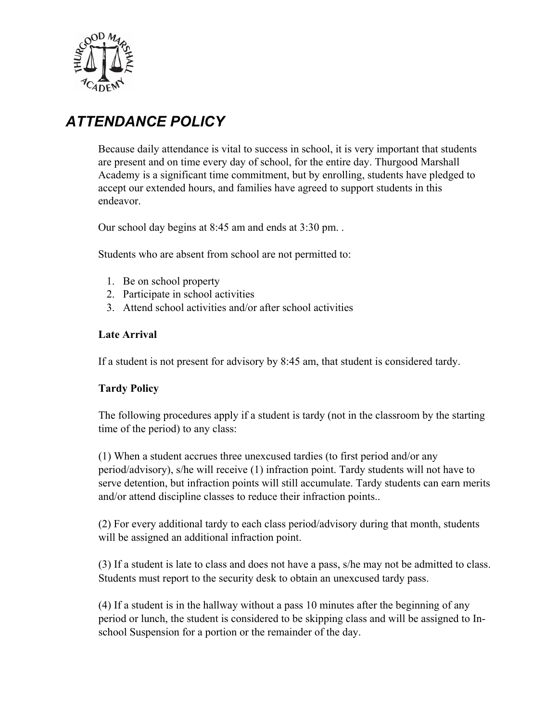

# *ATTENDANCE POLICY*

Because daily attendance is vital to success in school, it is very important that students are present and on time every day of school, for the entire day. Thurgood Marshall Academy is a significant time commitment, but by enrolling, students have pledged to accept our extended hours, and families have agreed to support students in this endeavor.

Our school day begins at 8:45 am and ends at 3:30 pm. .

Students who are absent from school are not permitted to:

- 1. Be on school property
- 2. Participate in school activities
- 3. Attend school activities and/or after school activities

#### **Late Arrival**

If a student is not present for advisory by 8:45 am, that student is considered tardy.

#### **Tardy Policy**

The following procedures apply if a student is tardy (not in the classroom by the starting time of the period) to any class:

(1) When a student accrues three unexcused tardies (to first period and/or any period/advisory), s/he will receive (1) infraction point. Tardy students will not have to serve detention, but infraction points will still accumulate. Tardy students can earn merits and/or attend discipline classes to reduce their infraction points..

(2) For every additional tardy to each class period/advisory during that month, students will be assigned an additional infraction point.

(3) If a student is late to class and does not have a pass, s/he may not be admitted to class. Students must report to the security desk to obtain an unexcused tardy pass.

(4) If a student is in the hallway without a pass 10 minutes after the beginning of any period or lunch, the student is considered to be skipping class and will be assigned to Inschool Suspension for a portion or the remainder of the day.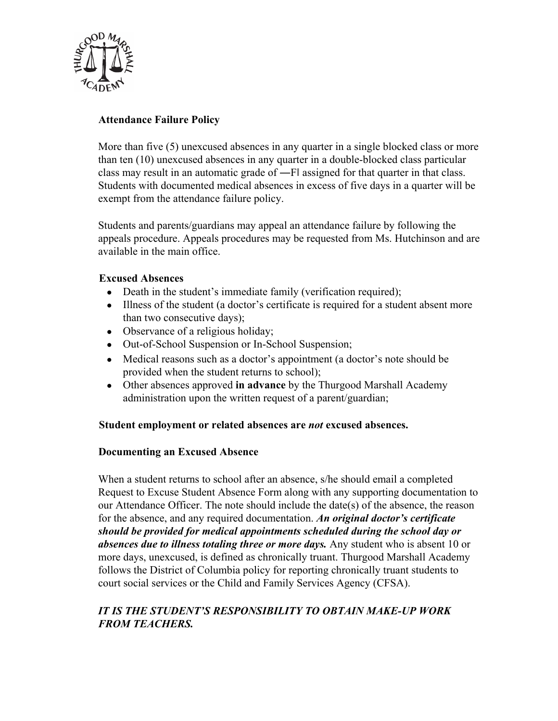

## **Attendance Failure Policy**

More than five (5) unexcused absences in any quarter in a single blocked class or more than ten (10) unexcused absences in any quarter in a double-blocked class particular class may result in an automatic grade of ―Fǁ assigned for that quarter in that class. Students with documented medical absences in excess of five days in a quarter will be exempt from the attendance failure policy.

Students and parents/guardians may appeal an attendance failure by following the appeals procedure. Appeals procedures may be requested from Ms. Hutchinson and are available in the main office.

## **Excused Absences**

- Death in the student's immediate family (verification required);
- Illness of the student (a doctor's certificate is required for a student absent more than two consecutive days);
- Observance of a religious holiday;
- Out-of-School Suspension or In-School Suspension;
- Medical reasons such as a doctor's appointment (a doctor's note should be provided when the student returns to school);
- Other absences approved **in advance** by the Thurgood Marshall Academy administration upon the written request of a parent/guardian;

#### **Student employment or related absences are** *not* **excused absences.**

#### **Documenting an Excused Absence**

When a student returns to school after an absence, s/he should email a completed Request to Excuse Student Absence Form along with any supporting documentation to our Attendance Officer. The note should include the date(s) of the absence, the reason for the absence, and any required documentation. *An original doctor's certificate should be provided for medical appointments scheduled during the school day or absences due to illness totaling three or more days.* Any student who is absent 10 or more days, unexcused, is defined as chronically truant. Thurgood Marshall Academy follows the District of Columbia policy for reporting chronically truant students to court social services or the Child and Family Services Agency (CFSA).

## *IT IS THE STUDENT'S RESPONSIBILITY TO OBTAIN MAKE-UP WORK FROM TEACHERS.*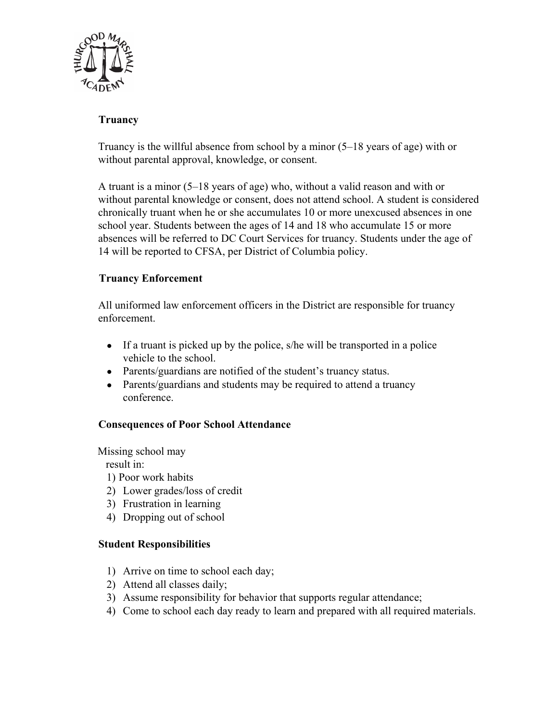

## **Truancy**

Truancy is the willful absence from school by a minor (5–18 years of age) with or without parental approval, knowledge, or consent.

A truant is a minor (5–18 years of age) who, without a valid reason and with or without parental knowledge or consent, does not attend school. A student is considered chronically truant when he or she accumulates 10 or more unexcused absences in one school year. Students between the ages of 14 and 18 who accumulate 15 or more absences will be referred to DC Court Services for truancy. Students under the age of 14 will be reported to CFSA, per District of Columbia policy.

## **Truancy Enforcement**

All uniformed law enforcement officers in the District are responsible for truancy enforcement.

- If a truant is picked up by the police, s/he will be transported in a police vehicle to the school.
- Parents/guardians are notified of the student's truancy status.
- Parents/guardians and students may be required to attend a truancy conference.

#### **Consequences of Poor School Attendance**

Missing school may

result in:

1) Poor work habits

- 2) Lower grades/loss of credit
- 3) Frustration in learning
- 4) Dropping out of school

#### **Student Responsibilities**

- 1) Arrive on time to school each day;
- 2) Attend all classes daily;
- 3) Assume responsibility for behavior that supports regular attendance;
- 4) Come to school each day ready to learn and prepared with all required materials.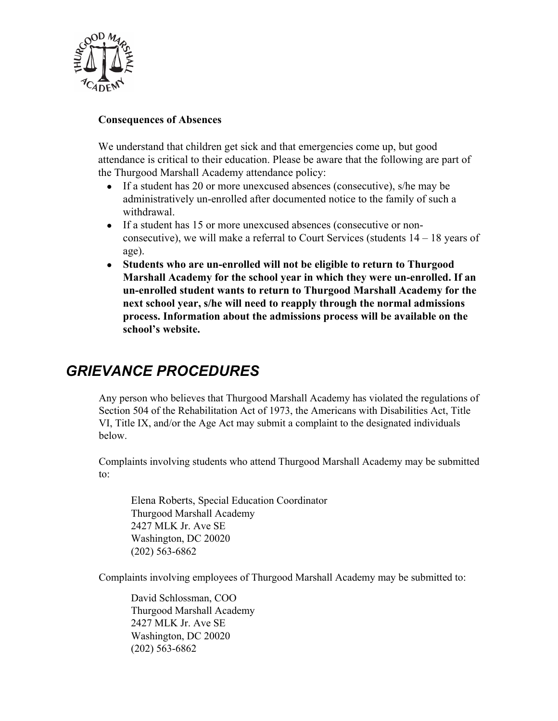

#### **Consequences of Absences**

We understand that children get sick and that emergencies come up, but good attendance is critical to their education. Please be aware that the following are part of the Thurgood Marshall Academy attendance policy:

- If a student has 20 or more unexcused absences (consecutive), s/he may be administratively un-enrolled after documented notice to the family of such a withdrawal.
- If a student has 15 or more unexcused absences (consecutive or nonconsecutive), we will make a referral to Court Services (students 14 – 18 years of age).
- **Students who are un-enrolled will not be eligible to return to Thurgood Marshall Academy for the school year in which they were un-enrolled. If an un-enrolled student wants to return to Thurgood Marshall Academy for the next school year, s/he will need to reapply through the normal admissions process. Information about the admissions process will be available on the school's website.**

# *GRIEVANCE PROCEDURES*

Any person who believes that Thurgood Marshall Academy has violated the regulations of Section 504 of the Rehabilitation Act of 1973, the Americans with Disabilities Act, Title VI, Title IX, and/or the Age Act may submit a complaint to the designated individuals below.

Complaints involving students who attend Thurgood Marshall Academy may be submitted to:

Elena Roberts, Special Education Coordinator Thurgood Marshall Academy 2427 MLK Jr. Ave SE Washington, DC 20020 (202) 563-6862

Complaints involving employees of Thurgood Marshall Academy may be submitted to:

David Schlossman, COO Thurgood Marshall Academy 2427 MLK Jr. Ave SE Washington, DC 20020 (202) 563-6862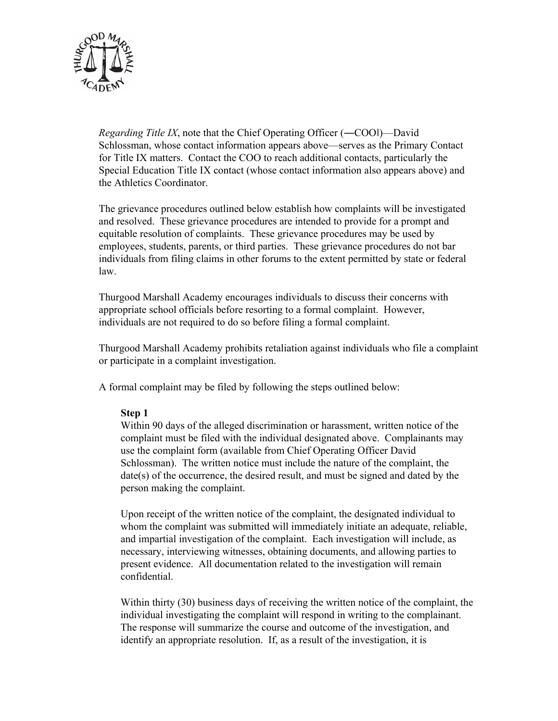

*Regarding Title IX*, note that the Chief Operating Officer (—COOI)—David Schlossman, whose contact information appears above—serves as the Primary Contact for Title IX matters. Contact the COO to reach additional contacts, particularly the Special Education Title IX contact (whose contact information also appears above) and the Athletics Coordinator.

The grievance procedures outlined below establish how complaints will be investigated and resolved. These grievance procedures are intended to provide for a prompt and equitable resolution of complaints. These grievance procedures may be used by employees, students, parents, or third parties. These grievance procedures do not bar individuals from filing claims in other forums to the extent permitted by state or federal law.

Thurgood Marshall Academy encourages individuals to discuss their concerns with appropriate school officials before resorting to a formal complaint. However, individuals are not required to do so before filing a formal complaint.

Thurgood Marshall Academy prohibits retaliation against individuals who file a complaint or participate in a complaint investigation.

A formal complaint may be filed by following the steps outlined below:

#### **Step 1**

Within 90 days of the alleged discrimination or harassment, written notice of the complaint must be filed with the individual designated above. Complainants may use the complaint form (available from Chief Operating Officer David Schlossman). The written notice must include the nature of the complaint, the date(s) of the occurrence, the desired result, and must be signed and dated by the person making the complaint.

Upon receipt of the written notice of the complaint, the designated individual to whom the complaint was submitted will immediately initiate an adequate, reliable, and impartial investigation of the complaint. Each investigation will include, as necessary, interviewing witnesses, obtaining documents, and allowing parties to present evidence. All documentation related to the investigation will remain confidential.

Within thirty (30) business days of receiving the written notice of the complaint, the individual investigating the complaint will respond in writing to the complainant. The response will summarize the course and outcome of the investigation, and identify an appropriate resolution. If, as a result of the investigation, it is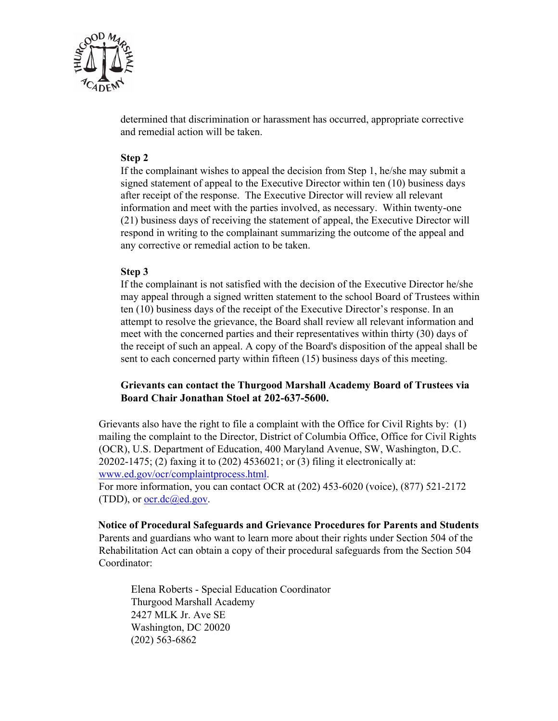

determined that discrimination or harassment has occurred, appropriate corrective and remedial action will be taken.

#### **Step 2**

If the complainant wishes to appeal the decision from Step 1, he/she may submit a signed statement of appeal to the Executive Director within ten (10) business days after receipt of the response. The Executive Director will review all relevant information and meet with the parties involved, as necessary. Within twenty-one (21) business days of receiving the statement of appeal, the Executive Director will respond in writing to the complainant summarizing the outcome of the appeal and any corrective or remedial action to be taken.

#### **Step 3**

If the complainant is not satisfied with the decision of the Executive Director he/she may appeal through a signed written statement to the school Board of Trustees within ten (10) business days of the receipt of the Executive Director's response. In an attempt to resolve the grievance, the Board shall review all relevant information and meet with the concerned parties and their representatives within thirty (30) days of the receipt of such an appeal. A copy of the Board's disposition of the appeal shall be sent to each concerned party within fifteen (15) business days of this meeting.

#### **Grievants can contact the Thurgood Marshall Academy Board of Trustees via Board Chair Jonathan Stoel at 202-637-5600.**

Grievants also have the right to file a complaint with the Office for Civil Rights by: (1) mailing the complaint to the Director, District of Columbia Office, Office for Civil Rights (OCR), U.S. Department of Education, 400 Maryland Avenue, SW, Washington, D.C. 20202-1475; (2) faxing it to (202) 4536021; or (3) filing it electronically at: www.ed.gov/ocr/complaintprocess.html.

For more information, you can contact OCR at (202) 453-6020 (voice), (877) 521-2172 (TDD), or  $occ.de@ed.gov$ .

**Notice of Procedural Safeguards and Grievance Procedures for Parents and Students** Parents and guardians who want to learn more about their rights under Section 504 of the Rehabilitation Act can obtain a copy of their procedural safeguards from the Section 504 Coordinator:

Elena Roberts - Special Education Coordinator Thurgood Marshall Academy 2427 MLK Jr. Ave SE Washington, DC 20020 (202) 563-6862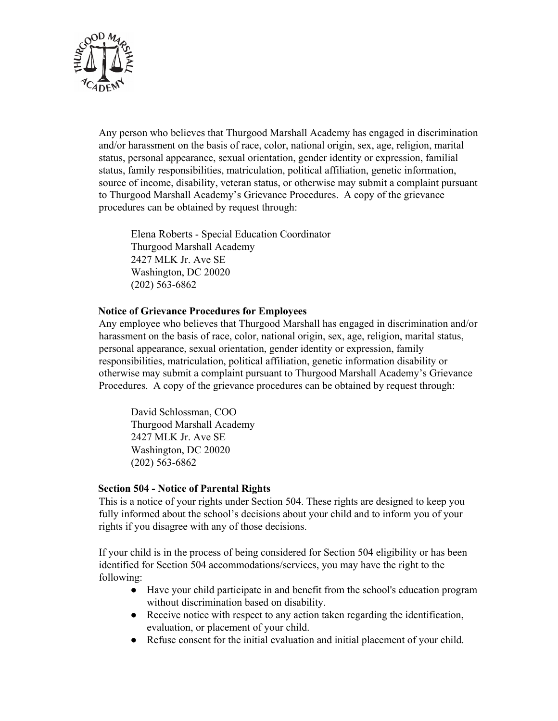

Any person who believes that Thurgood Marshall Academy has engaged in discrimination and/or harassment on the basis of race, color, national origin, sex, age, religion, marital status, personal appearance, sexual orientation, gender identity or expression, familial status, family responsibilities, matriculation, political affiliation, genetic information, source of income, disability, veteran status, or otherwise may submit a complaint pursuant to Thurgood Marshall Academy's Grievance Procedures. A copy of the grievance procedures can be obtained by request through:

Elena Roberts - Special Education Coordinator Thurgood Marshall Academy 2427 MLK Jr. Ave SE Washington, DC 20020 (202) 563-6862

#### **Notice of Grievance Procedures for Employees**

Any employee who believes that Thurgood Marshall has engaged in discrimination and/or harassment on the basis of race, color, national origin, sex, age, religion, marital status, personal appearance, sexual orientation, gender identity or expression, family responsibilities, matriculation, political affiliation, genetic information disability or otherwise may submit a complaint pursuant to Thurgood Marshall Academy's Grievance Procedures. A copy of the grievance procedures can be obtained by request through:

David Schlossman, COO Thurgood Marshall Academy 2427 MLK Jr. Ave SE Washington, DC 20020 (202) 563-6862

#### **Section 504 - Notice of Parental Rights**

This is a notice of your rights under Section 504. These rights are designed to keep you fully informed about the school's decisions about your child and to inform you of your rights if you disagree with any of those decisions.

If your child is in the process of being considered for Section 504 eligibility or has been identified for Section 504 accommodations/services, you may have the right to the following:

- Have your child participate in and benefit from the school's education program without discrimination based on disability.
- Receive notice with respect to any action taken regarding the identification, evaluation, or placement of your child.
- Refuse consent for the initial evaluation and initial placement of your child.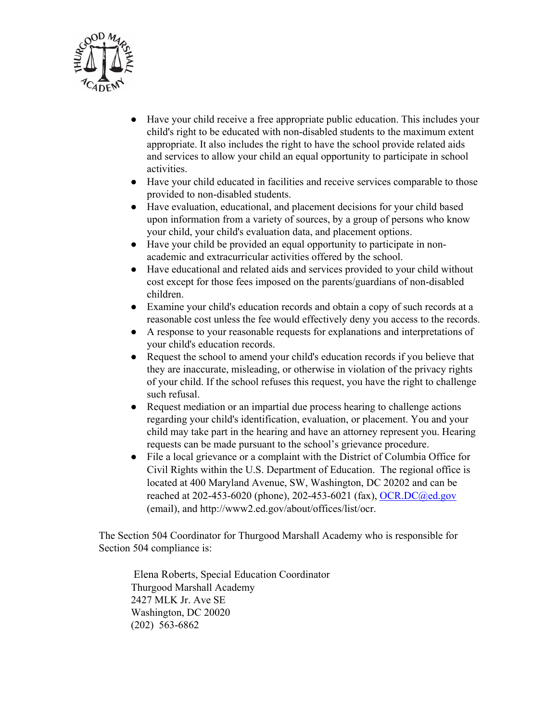

- Have your child receive a free appropriate public education. This includes your child's right to be educated with non-disabled students to the maximum extent appropriate. It also includes the right to have the school provide related aids and services to allow your child an equal opportunity to participate in school activities.
- Have your child educated in facilities and receive services comparable to those provided to non-disabled students.
- Have evaluation, educational, and placement decisions for your child based upon information from a variety of sources, by a group of persons who know your child, your child's evaluation data, and placement options.
- Have your child be provided an equal opportunity to participate in nonacademic and extracurricular activities offered by the school.
- Have educational and related aids and services provided to your child without cost except for those fees imposed on the parents/guardians of non-disabled children.
- Examine your child's education records and obtain a copy of such records at a reasonable cost unless the fee would effectively deny you access to the records.
- A response to your reasonable requests for explanations and interpretations of your child's education records.
- Request the school to amend your child's education records if you believe that they are inaccurate, misleading, or otherwise in violation of the privacy rights of your child. If the school refuses this request, you have the right to challenge such refusal.
- Request mediation or an impartial due process hearing to challenge actions regarding your child's identification, evaluation, or placement. You and your child may take part in the hearing and have an attorney represent you. Hearing requests can be made pursuant to the school's grievance procedure.
- File a local grievance or a complaint with the District of Columbia Office for Civil Rights within the U.S. Department of Education. The regional office is located at 400 Maryland Avenue, SW, Washington, DC 20202 and can be reached at 202-453-6020 (phone), 202-453-6021 (fax), OCR.DC@ed.gov (email), and http://www2.ed.gov/about/offices/list/ocr.

The Section 504 Coordinator for Thurgood Marshall Academy who is responsible for Section 504 compliance is:

 Elena Roberts, Special Education Coordinator Thurgood Marshall Academy 2427 MLK Jr. Ave SE Washington, DC 20020 (202) 563-6862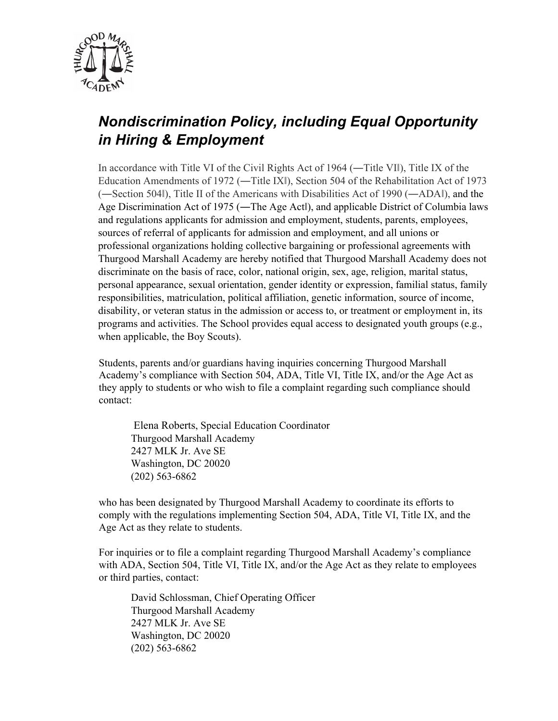

# *Nondiscrimination Policy, including Equal Opportunity in Hiring & Employment*

In accordance with Title VI of the Civil Rights Act of 1964 (—Title VII), Title IX of the Education Amendments of 1972 (―Title IXǁ), Section 504 of the Rehabilitation Act of 1973 (―Section 504ǁ), Title II of the Americans with Disabilities Act of 1990 (―ADAǁ), and the Age Discrimination Act of 1975 (—The Age Act), and applicable District of Columbia laws and regulations applicants for admission and employment, students, parents, employees, sources of referral of applicants for admission and employment, and all unions or professional organizations holding collective bargaining or professional agreements with Thurgood Marshall Academy are hereby notified that Thurgood Marshall Academy does not discriminate on the basis of race, color, national origin, sex, age, religion, marital status, personal appearance, sexual orientation, gender identity or expression, familial status, family responsibilities, matriculation, political affiliation, genetic information, source of income, disability, or veteran status in the admission or access to, or treatment or employment in, its programs and activities. The School provides equal access to designated youth groups (e.g., when applicable, the Boy Scouts).

Students, parents and/or guardians having inquiries concerning Thurgood Marshall Academy's compliance with Section 504, ADA, Title VI, Title IX, and/or the Age Act as they apply to students or who wish to file a complaint regarding such compliance should contact:

 Elena Roberts, Special Education Coordinator Thurgood Marshall Academy 2427 MLK Jr. Ave SE Washington, DC 20020 (202) 563-6862

who has been designated by Thurgood Marshall Academy to coordinate its efforts to comply with the regulations implementing Section 504, ADA, Title VI, Title IX, and the Age Act as they relate to students.

For inquiries or to file a complaint regarding Thurgood Marshall Academy's compliance with ADA, Section 504, Title VI, Title IX, and/or the Age Act as they relate to employees or third parties, contact:

David Schlossman, Chief Operating Officer Thurgood Marshall Academy 2427 MLK Jr. Ave SE Washington, DC 20020 (202) 563-6862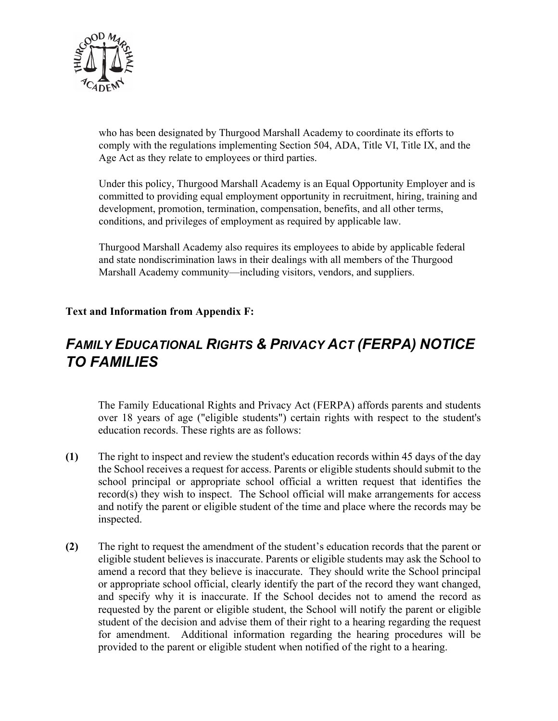

who has been designated by Thurgood Marshall Academy to coordinate its efforts to comply with the regulations implementing Section 504, ADA, Title VI, Title IX, and the Age Act as they relate to employees or third parties.

Under this policy, Thurgood Marshall Academy is an Equal Opportunity Employer and is committed to providing equal employment opportunity in recruitment, hiring, training and development, promotion, termination, compensation, benefits, and all other terms, conditions, and privileges of employment as required by applicable law.

Thurgood Marshall Academy also requires its employees to abide by applicable federal and state nondiscrimination laws in their dealings with all members of the Thurgood Marshall Academy community—including visitors, vendors, and suppliers.

## **Text and Information from Appendix F:**

# *FAMILY EDUCATIONAL RIGHTS & PRIVACY ACT (FERPA) NOTICE TO FAMILIES*

The Family Educational Rights and Privacy Act (FERPA) affords parents and students over 18 years of age ("eligible students") certain rights with respect to the student's education records. These rights are as follows:

- **(1)** The right to inspect and review the student's education records within 45 days of the day the School receives a request for access. Parents or eligible students should submit to the school principal or appropriate school official a written request that identifies the  $record(s)$  they wish to inspect. The School official will make arrangements for access and notify the parent or eligible student of the time and place where the records may be inspected.
- **(2)** The right to request the amendment of the student's education records that the parent or eligible student believes is inaccurate. Parents or eligible students may ask the School to amend a record that they believe is inaccurate. They should write the School principal or appropriate school official, clearly identify the part of the record they want changed, and specify why it is inaccurate. If the School decides not to amend the record as requested by the parent or eligible student, the School will notify the parent or eligible student of the decision and advise them of their right to a hearing regarding the request for amendment. Additional information regarding the hearing procedures will be provided to the parent or eligible student when notified of the right to a hearing.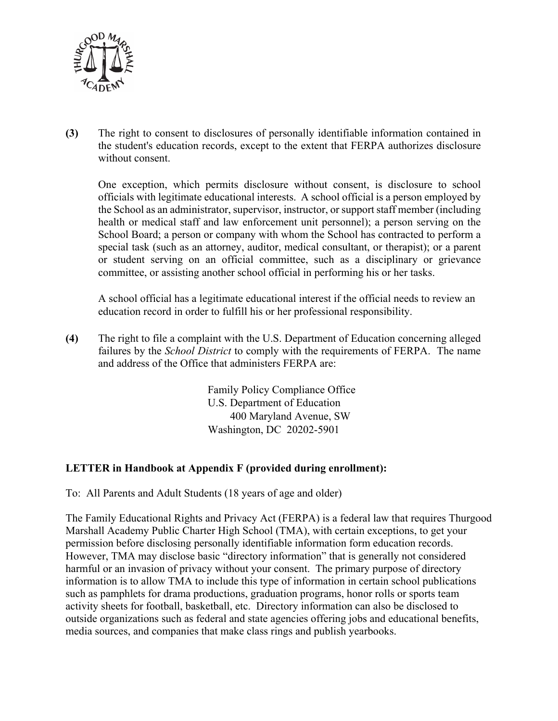

**(3)** The right to consent to disclosures of personally identifiable information contained in the student's education records, except to the extent that FERPA authorizes disclosure without consent.

One exception, which permits disclosure without consent, is disclosure to school officials with legitimate educational interests. A school official is a person employed by the School as an administrator, supervisor, instructor, or support staff member (including health or medical staff and law enforcement unit personnel); a person serving on the School Board; a person or company with whom the School has contracted to perform a special task (such as an attorney, auditor, medical consultant, or therapist); or a parent or student serving on an official committee, such as a disciplinary or grievance committee, or assisting another school official in performing his or her tasks.

A school official has a legitimate educational interest if the official needs to review an education record in order to fulfill his or her professional responsibility.

**(4)** The right to file a complaint with the U.S. Department of Education concerning alleged failures by the *School District* to comply with the requirements of FERPA. The name and address of the Office that administers FERPA are:

> Family Policy Compliance Office U.S. Department of Education 400 Maryland Avenue, SW Washington, DC 20202-5901

#### **LETTER in Handbook at Appendix F (provided during enrollment):**

To: All Parents and Adult Students (18 years of age and older)

The Family Educational Rights and Privacy Act (FERPA) is a federal law that requires Thurgood Marshall Academy Public Charter High School (TMA), with certain exceptions, to get your permission before disclosing personally identifiable information form education records. However, TMA may disclose basic "directory information" that is generally not considered harmful or an invasion of privacy without your consent. The primary purpose of directory information is to allow TMA to include this type of information in certain school publications such as pamphlets for drama productions, graduation programs, honor rolls or sports team activity sheets for football, basketball, etc. Directory information can also be disclosed to outside organizations such as federal and state agencies offering jobs and educational benefits, media sources, and companies that make class rings and publish yearbooks.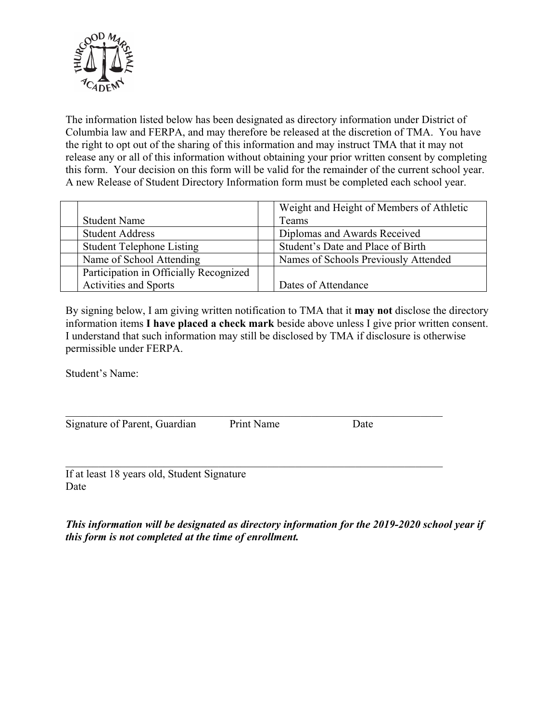

The information listed below has been designated as directory information under District of Columbia law and FERPA, and may therefore be released at the discretion of TMA. You have the right to opt out of the sharing of this information and may instruct TMA that it may not release any or all of this information without obtaining your prior written consent by completing this form. Your decision on this form will be valid for the remainder of the current school year. A new Release of Student Directory Information form must be completed each school year.

|                                        | Weight and Height of Members of Athletic |
|----------------------------------------|------------------------------------------|
| <b>Student Name</b>                    | Teams                                    |
| <b>Student Address</b>                 | Diplomas and Awards Received             |
| <b>Student Telephone Listing</b>       | Student's Date and Place of Birth        |
| Name of School Attending               | Names of Schools Previously Attended     |
| Participation in Officially Recognized |                                          |
| <b>Activities and Sports</b>           | Dates of Attendance                      |

By signing below, I am giving written notification to TMA that it **may not** disclose the directory information items **I have placed a check mark** beside above unless I give prior written consent. I understand that such information may still be disclosed by TMA if disclosure is otherwise permissible under FERPA.

Student's Name:

Signature of Parent, Guardian Print Name Date

If at least 18 years old, Student Signature Date

*This information will be designated as directory information for the 2019-2020 school year if this form is not completed at the time of enrollment.*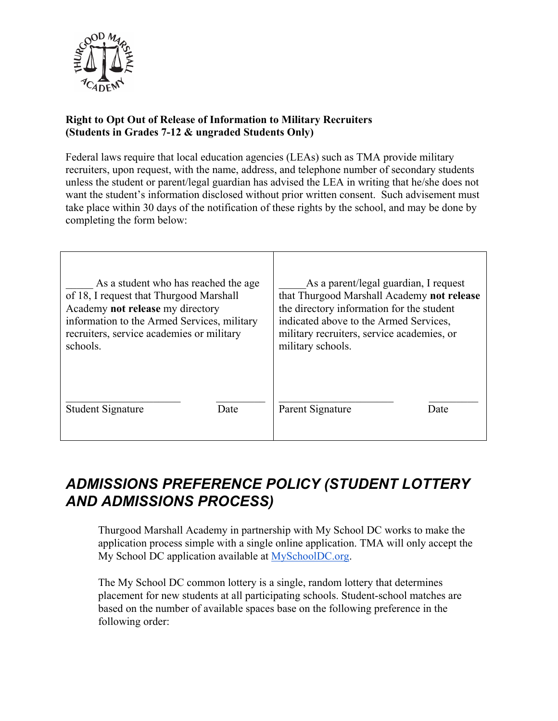

## **Right to Opt Out of Release of Information to Military Recruiters (Students in Grades 7-12 & ungraded Students Only)**

Federal laws require that local education agencies (LEAs) such as TMA provide military recruiters, upon request, with the name, address, and telephone number of secondary students unless the student or parent/legal guardian has advised the LEA in writing that he/she does not want the student's information disclosed without prior written consent. Such advisement must take place within 30 days of the notification of these rights by the school, and may be done by completing the form below:

| As a student who has reached the age        | As a parent/legal guardian, I request      |
|---------------------------------------------|--------------------------------------------|
| of 18, I request that Thurgood Marshall     | that Thurgood Marshall Academy not release |
| Academy not release my directory            | the directory information for the student  |
| information to the Armed Services, military | indicated above to the Armed Services,     |
| recruiters, service academies or military   | military recruiters, service academies, or |
| schools.                                    | military schools.                          |
| Student Signature                           | Parent Signature                           |
| Date                                        | Date                                       |

# *ADMISSIONS PREFERENCE POLICY (STUDENT LOTTERY AND ADMISSIONS PROCESS)*

Thurgood Marshall Academy in partnership with My School DC works to make the application process simple with a single online application. TMA will only accept the My School DC application available at MySchoolDC.org.

The My School DC common lottery is a single, random lottery that determines placement for new students at all participating schools. Student-school matches are based on the number of available spaces base on the following preference in the following order: